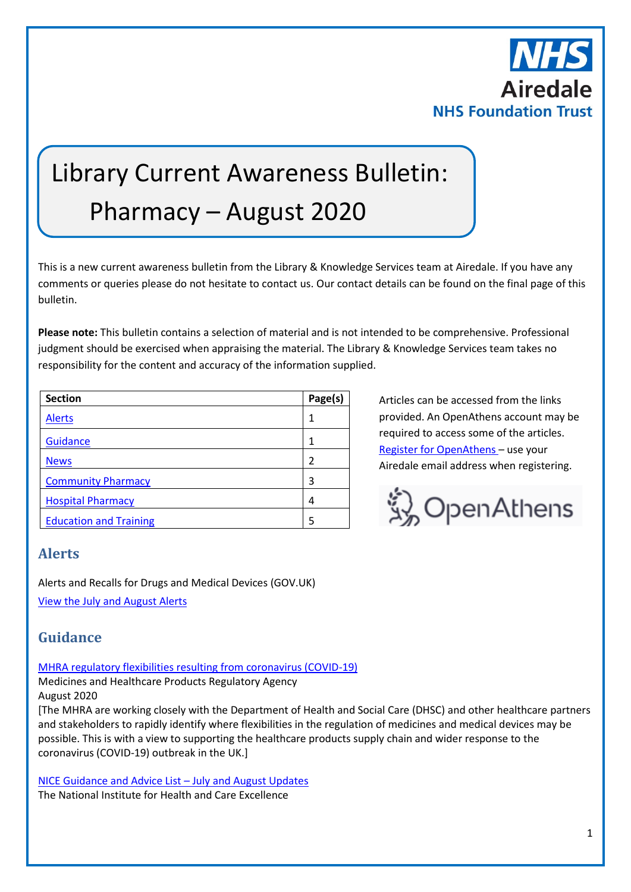

# Library Current Awareness Bulletin: Pharmacy – August 2020

This is a new current awareness bulletin from the Library & Knowledge Services team at Airedale. If you have any comments or queries please do not hesitate to contact us. Our contact details can be found on the final page of this bulletin.

**Please note:** This bulletin contains a selection of material and is not intended to be comprehensive. Professional judgment should be exercised when appraising the material. The Library & Knowledge Services team takes no responsibility for the content and accuracy of the information supplied.

| <b>Section</b>                | Page(s) |
|-------------------------------|---------|
| <b>Alerts</b>                 |         |
| Guidance                      |         |
| <b>News</b>                   | 2       |
| <b>Community Pharmacy</b>     | 3       |
| <b>Hospital Pharmacy</b>      | 4       |
| <b>Education and Training</b> | 5       |

Articles can be accessed from the links provided. An OpenAthens account may be required to access some of the articles. [Register for OpenAthens](https://openathens.nice.org.uk/) – use your Airedale email address when registering.



## <span id="page-0-0"></span>**Alerts**

Alerts and Recalls for Drugs and Medical Devices (GOV.UK) [View the July and August](https://www.gov.uk/drug-device-alerts?issued_date%5Bfrom%5D=30%2F06%2F2020) Alerts

# <span id="page-0-1"></span>**Guidance**

[MHRA regulatory flexibilities resulting from coronavirus \(COVID-19\)](https://www.gov.uk/guidance/mhra-regulatory-flexibilities-resulting-from-coronavirus-covid-19)

Medicines and Healthcare Products Regulatory Agency

August 2020

[The MHRA are working closely with the Department of Health and Social Care (DHSC) and other healthcare partners and stakeholders to rapidly identify where flexibilities in the regulation of medicines and medical devices may be possible. This is with a view to supporting the healthcare products supply chain and wider response to the coronavirus (COVID-19) outbreak in the UK.]

[NICE Guidance and Advice List](https://www.nice.org.uk/guidance/published?fromdate=July%202020&todate=01%20August%202020) – July and August Updates The National Institute for Health and Care Excellence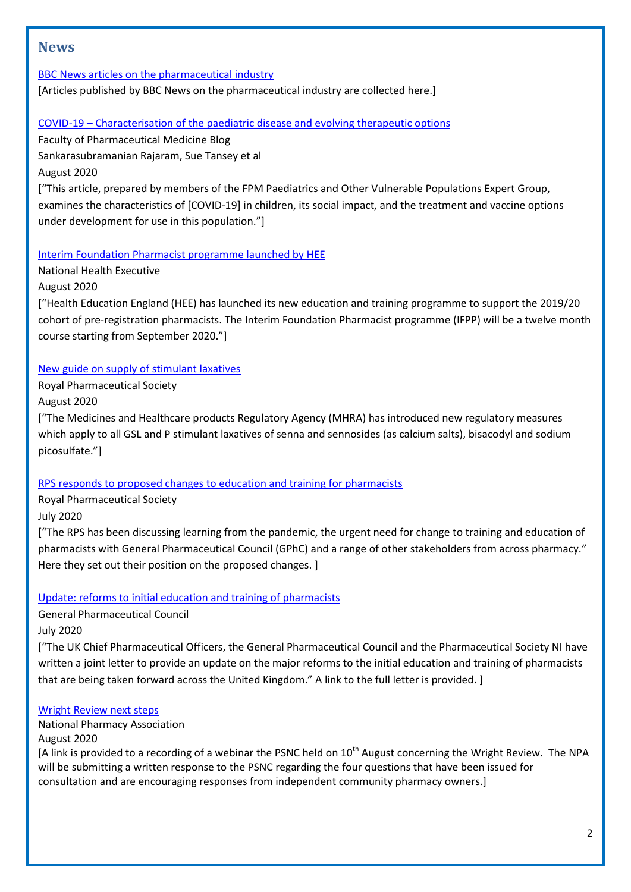# <span id="page-1-0"></span>**News**

[BBC News articles on the pharmaceutical industry](https://www.bbc.co.uk/news/topics/cg1lkvgedv8t/pharmaceutical-industry)

[Articles published by BBC News on the pharmaceutical industry are collected here.]

#### COVID-19 – [Characterisation of the paediatric disease and evolving therapeutic options](https://www.fpm.org.uk/blog/covid-19-characterisation-of-the-paediatric-disease-and-evolving-therapeutic-options/)

Faculty of Pharmaceutical Medicine Blog Sankarasubramanian Rajaram, Sue Tansey et al

August 2020

["This article, prepared by members of the FPM Paediatrics and Other Vulnerable Populations Expert Group, examines the characteristics of [COVID-19] in children, its social impact, and the treatment and vaccine options under development for use in this population."]

#### [Interim Foundation Pharmacist programme launched by HEE](http://www.nationalhealthexecutive.com/News/interim-foundation-pharmacist-programme-hee/259359)

National Health Executive August 2020

["Health Education England (HEE) has launched its new education and training programme to support the 2019/20 cohort of pre-registration pharmacists. The Interim Foundation Pharmacist programme (IFPP) will be a twelve month course starting from September 2020."]

## [New guide on supply of stimulant laxatives](https://www.rpharms.com/about-us/news/details/new-guide-on-supply-of-stimulant-laxatives-)

Royal Pharmaceutical Society

August 2020

["The Medicines and Healthcare products Regulatory Agency (MHRA) has introduced new regulatory measures which apply to all GSL and P stimulant laxatives of senna and sennosides (as calcium salts), bisacodyl and sodium picosulfate."]

#### [RPS responds to proposed changes to education and training for pharmacists](https://www.rpharms.com/about-us/news/details/rps-responds-to-proposed-changes-to-education-and-training-for-pharmacists)

Royal Pharmaceutical Society

July 2020

["The RPS has been discussing learning from the pandemic, the urgent need for change to training and education of pharmacists with General Pharmaceutical Council (GPhC) and a range of other stakeholders from across pharmacy." Here they set out their position on the proposed changes. ]

## [Update: reforms to initial education and training of pharmacists](https://www.pharmacyregulation.org/news/update-reforms-initial-education-and-training-pharmacists)

General Pharmaceutical Council

July 2020

["The UK Chief Pharmaceutical Officers, the General Pharmaceutical Council and the Pharmaceutical Society NI have written a joint letter to provide an update on the major reforms to the initial education and training of pharmacists that are being taken forward across the United Kingdom." A link to the full letter is provided. ]

#### [Wright Review next steps](https://www.npa.co.uk/news-and-events/news-item/wright-review-next-steps/)

National Pharmacy Association August 2020

[A link is provided to a recording of a webinar the PSNC held on 10<sup>th</sup> August concerning the Wright Review. The NPA will be submitting a written response to the PSNC regarding the four questions that have been issued for consultation and are encouraging responses from independent community pharmacy owners.]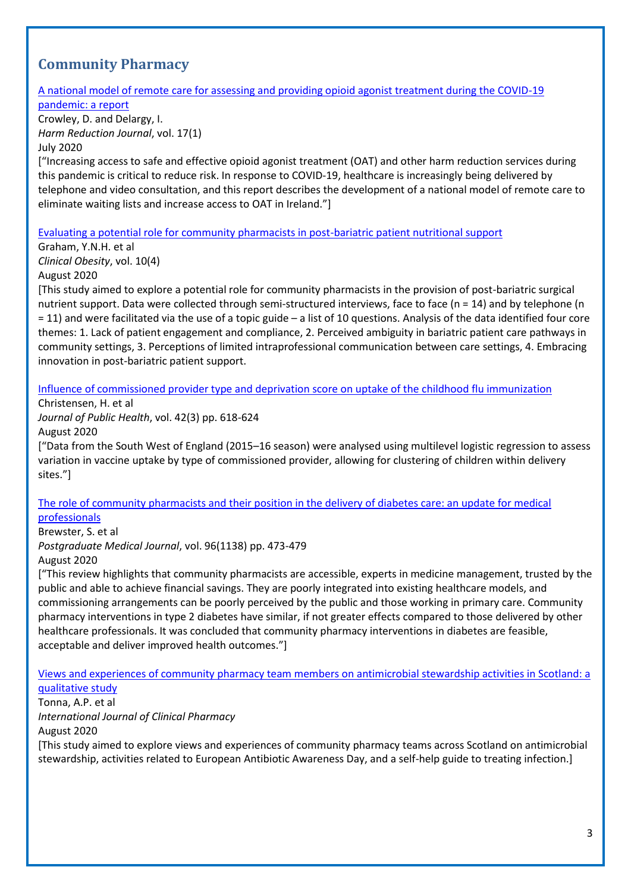# <span id="page-2-0"></span>**Community Pharmacy**

#### [A national model of remote care for assessing and providing opioid agonist treatment during the COVID-19](https://harmreductionjournal.biomedcentral.com/articles/10.1186/s12954-020-00394-z)  [pandemic: a report](https://harmreductionjournal.biomedcentral.com/articles/10.1186/s12954-020-00394-z)

Crowley, D. and Delargy, I. *Harm Reduction Journal*, vol. 17(1) July 2020

["Increasing access to safe and effective opioid agonist treatment (OAT) and other harm reduction services during this pandemic is critical to reduce risk. In response to COVID-19, healthcare is increasingly being delivered by telephone and video consultation, and this report describes the development of a national model of remote care to eliminate waiting lists and increase access to OAT in Ireland."]

[Evaluating a potential role for community pharmacists in post-bariatric patient nutritional support](https://onlinelibrary.wiley.com/doi/pdfdirect/10.1111/cob.12364)

Graham, Y.N.H. et al *Clinical Obesity*, vol. 10(4) August 2020

[This study aimed to explore a potential role for community pharmacists in the provision of post-bariatric surgical nutrient support. Data were collected through semi-structured interviews, face to face (n = 14) and by telephone (n = 11) and were facilitated via the use of a topic guide – a list of 10 questions. Analysis of the data identified four core themes: 1. Lack of patient engagement and compliance, 2. Perceived ambiguity in bariatric patient care pathways in community settings, 3. Perceptions of limited intraprofessional communication between care settings, 4. Embracing innovation in post-bariatric patient support.

[Influence of commissioned provider type and deprivation score on uptake of the childhood flu immunization](https://academic.oup.com/jpubhealth/article/42/3/618/5514183)

Christensen, H. et al

*Journal of Public Health*, vol. 42(3) pp. 618-624

August 2020

["Data from the South West of England (2015–16 season) were analysed using multilevel logistic regression to assess variation in vaccine uptake by type of commissioned provider, allowing for clustering of children within delivery sites."]

#### [The role of community pharmacists and their position in the delivery of diabetes care: an update for medical](https://pmj.bmj.com/content/96/1138/473)  [professionals](https://pmj.bmj.com/content/96/1138/473)

Brewster, S. et al

*Postgraduate Medical Journal*, vol. 96(1138) pp. 473-479

August 2020

["This review highlights that community pharmacists are accessible, experts in medicine management, trusted by the public and able to achieve financial savings. They are poorly integrated into existing healthcare models, and commissioning arrangements can be poorly perceived by the public and those working in primary care. Community pharmacy interventions in type 2 diabetes have similar, if not greater effects compared to those delivered by other healthcare professionals. It was concluded that community pharmacy interventions in diabetes are feasible, acceptable and deliver improved health outcomes."]

[Views and experiences of community pharmacy team members on antimicrobial stewardship activities in Scotland: a](https://link.springer.com/content/pdf/10.1007/s11096-020-01042-z.pdf)  [qualitative study](https://link.springer.com/content/pdf/10.1007/s11096-020-01042-z.pdf)

Tonna, A.P. et al

*International Journal of Clinical Pharmacy*

August 2020

[This study aimed to explore views and experiences of community pharmacy teams across Scotland on antimicrobial stewardship, activities related to European Antibiotic Awareness Day, and a self-help guide to treating infection.]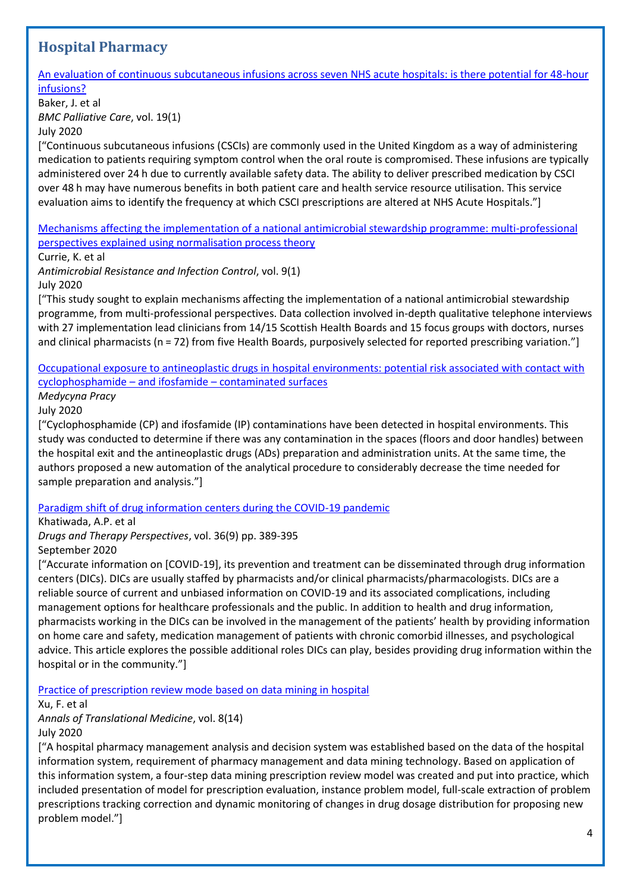# <span id="page-3-0"></span>**Hospital Pharmacy**

[An evaluation of continuous subcutaneous infusions across seven NHS acute hospitals: is there potential for 48-hour](https://bmcpalliatcare.biomedcentral.com/articles/10.1186/s12904-020-00611-3)  [infusions?](https://bmcpalliatcare.biomedcentral.com/articles/10.1186/s12904-020-00611-3)

Baker, J. et al *BMC Palliative Care*, vol. 19(1) July 2020

["Continuous subcutaneous infusions (CSCIs) are commonly used in the United Kingdom as a way of administering medication to patients requiring symptom control when the oral route is compromised. These infusions are typically administered over 24 h due to currently available safety data. The ability to deliver prescribed medication by CSCI over 48 h may have numerous benefits in both patient care and health service resource utilisation. This service evaluation aims to identify the frequency at which CSCI prescriptions are altered at NHS Acute Hospitals."]

[Mechanisms affecting the implementation of a national antimicrobial stewardship programme: multi-professional](https://aricjournal.biomedcentral.com/articles/10.1186/s13756-020-00767-w)  [perspectives explained using normalisation process theory](https://aricjournal.biomedcentral.com/articles/10.1186/s13756-020-00767-w)

Currie, K. et al

*Antimicrobial Resistance and Infection Control*, vol. 9(1) July 2020

["This study sought to explain mechanisms affecting the implementation of a national antimicrobial stewardship programme, from multi-professional perspectives. Data collection involved in-depth qualitative telephone interviews with 27 implementation lead clinicians from 14/15 Scottish Health Boards and 15 focus groups with doctors, nurses and clinical pharmacists (n = 72) from five Health Boards, purposively selected for reported prescribing variation."]

#### [Occupational exposure to antineoplastic drugs in hospital environments: potential risk associated with contact with](http://medpr.imp.lodz.pl/Occupational-exposure-to-antineoplastic-drugs-in-hospital-environments-potential,121069,0,2.html)  cyclophosphamide – and ifosfamide – [contaminated surfaces](http://medpr.imp.lodz.pl/Occupational-exposure-to-antineoplastic-drugs-in-hospital-environments-potential,121069,0,2.html)

*Medycyna Pracy*

July 2020

["Cyclophosphamide (CP) and ifosfamide (IP) contaminations have been detected in hospital environments. This study was conducted to determine if there was any contamination in the spaces (floors and door handles) between the hospital exit and the antineoplastic drugs (ADs) preparation and administration units. At the same time, the authors proposed a new automation of the analytical procedure to considerably decrease the time needed for sample preparation and analysis."]

## [Paradigm shift of drug information centers during the COVID-19 pandemic](https://link.springer.com/content/pdf/10.1007/s40267-020-00757-3.pdf)

Khatiwada, A.P. et al

*Drugs and Therapy Perspectives*, vol. 36(9) pp. 389-395 September 2020

["Accurate information on [COVID-19], its prevention and treatment can be disseminated through drug information centers (DICs). DICs are usually staffed by pharmacists and/or clinical pharmacists/pharmacologists. DICs are a reliable source of current and unbiased information on COVID-19 and its associated complications, including management options for healthcare professionals and the public. In addition to health and drug information, pharmacists working in the DICs can be involved in the management of the patients' health by providing information on home care and safety, medication management of patients with chronic comorbid illnesses, and psychological advice. This article explores the possible additional roles DICs can play, besides providing drug information within the hospital or in the community."]

[Practice of prescription review mode based on data mining in hospital](http://atm.amegroups.com/article/view/47409/html)

Xu, F. et al

*Annals of Translational Medicine*, vol. 8(14) July 2020

["A hospital pharmacy management analysis and decision system was established based on the data of the hospital information system, requirement of pharmacy management and data mining technology. Based on application of this information system, a four-step data mining prescription review model was created and put into practice, which included presentation of model for prescription evaluation, instance problem model, full-scale extraction of problem prescriptions tracking correction and dynamic monitoring of changes in drug dosage distribution for proposing new problem model."]